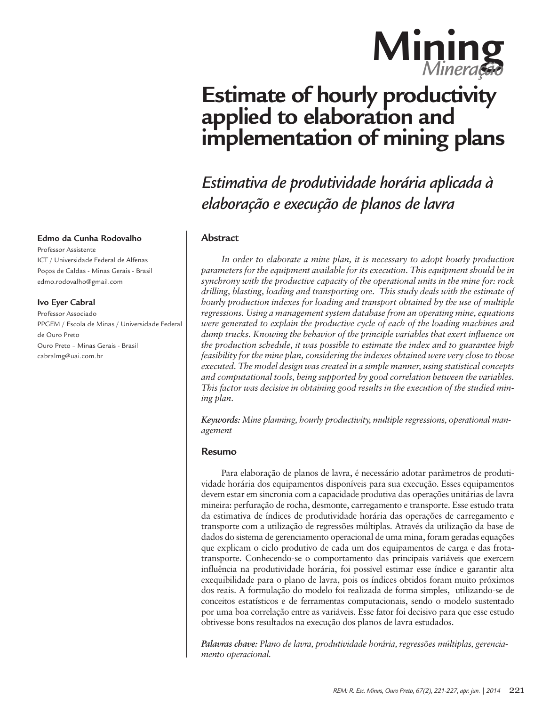

# **Estimate of hourly productivity applied to elaboration and implementation of mining plans**

*Estimativa de produtividade horária aplicada à elaboração e execução de planos de lavra*

# **Abstract**

*In order to elaborate a mine plan, it is necessary to adopt hourly production parameters for the equipment available for its execution. This equipment should be in synchrony with the productive capacity of the operational units in the mine for: rock drilling, blasting, loading and transporting ore. This study deals with the estimate of hourly production indexes for loading and transport obtained by the use of multiple regressions. Using a management system database from an operating mine, equations were generated to explain the productive cycle of each of the loading machines and dump trucks. Knowing the behavior of the principle variables that exert influence on the production schedule, it was possible to estimate the index and to guarantee high feasibility for the mine plan, considering the indexes obtained were very close to those executed. The model design was created in a simple manner, using statistical concepts and computational tools, being supported by good correlation between the variables. This factor was decisive in obtaining good results in the execution of the studied mining plan.*

*Keywords: Mine planning, hourly productivity, multiple regressions, operational management*

#### **Resumo**

Para elaboração de planos de lavra, é necessário adotar parâmetros de produtividade horária dos equipamentos disponíveis para sua execução. Esses equipamentos devem estar em sincronia com a capacidade produtiva das operações unitárias de lavra mineira: perfuração de rocha, desmonte, carregamento e transporte. Esse estudo trata da estimativa de índices de produtividade horária das operações de carregamento e transporte com a utilização de regressões múltiplas. Através da utilização da base de dados do sistema de gerenciamento operacional de uma mina, foram geradas equações que explicam o ciclo produtivo de cada um dos equipamentos de carga e das frotatransporte. Conhecendo-se o comportamento das principais variáveis que exercem influência na produtividade horária, foi possível estimar esse índice e garantir alta exequibilidade para o plano de lavra, pois os índices obtidos foram muito próximos dos reais. A formulação do modelo foi realizada de forma simples, utilizando-se de conceitos estatísticos e de ferramentas computacionais, sendo o modelo sustentado por uma boa correlação entre as variáveis. Esse fator foi decisivo para que esse estudo obtivesse bons resultados na execução dos planos de lavra estudados.

*Palavras chave: Plano de lavra, produtividade horária, regressões múltiplas, gerenciamento operacional.*

#### **Edmo da Cunha Rodovalho**

Professor Assistente ICT / Universidade Federal de Alfenas Poços de Caldas - Minas Gerais - Brasil edmo.rodovalho@gmail.com

#### **Ivo Eyer Cabral**

Professor Associado PPGEM / Escola de Minas / Universidade Federal de Ouro Preto Ouro Preto – Minas Gerais - Brasil cabralmg@uai.com.br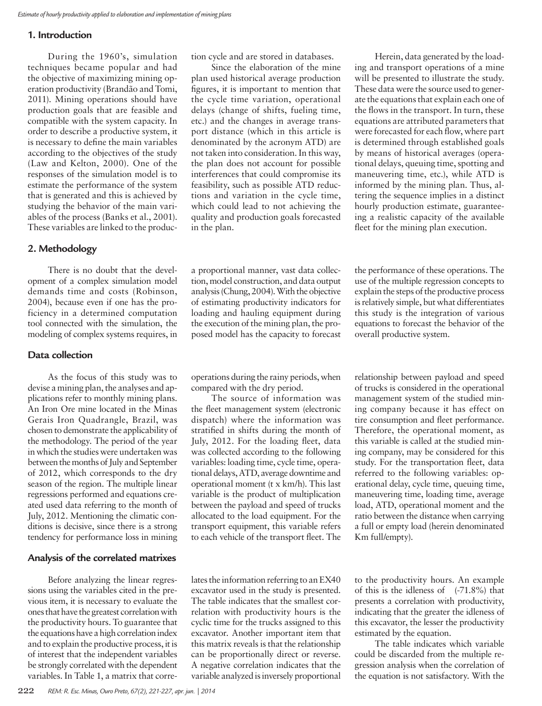#### **1. Introduction**

During the 1960's, simulation techniques became popular and had the objective of maximizing mining operation productivity (Brandão and Tomi, 2011). Mining operations should have production goals that are feasible and compatible with the system capacity. In order to describe a productive system, it is necessary to define the main variables according to the objectives of the study (Law and Kelton, 2000). One of the responses of the simulation model is to estimate the performance of the system that is generated and this is achieved by studying the behavior of the main variables of the process (Banks et al., 2001). These variables are linked to the produc-

#### **2. Methodology**

There is no doubt that the development of a complex simulation model demands time and costs (Robinson, 2004), because even if one has the proficiency in a determined computation tool connected with the simulation, the modeling of complex systems requires, in

### **Data collection**

As the focus of this study was to devise a mining plan, the analyses and applications refer to monthly mining plans. An Iron Ore mine located in the Minas Gerais Iron Quadrangle, Brazil, was chosen to demonstrate the applicability of the methodology. The period of the year in which the studies were undertaken was between the months of July and September of 2012, which corresponds to the dry season of the region. The multiple linear regressions performed and equations created used data referring to the month of July, 2012. Mentioning the climatic conditions is decisive, since there is a strong tendency for performance loss in mining

#### **Analysis of the correlated matrixes**

Before analyzing the linear regressions using the variables cited in the previous item, it is necessary to evaluate the ones that have the greatest correlation with the productivity hours. To guarantee that the equations have a high correlation index and to explain the productive process, it is of interest that the independent variables be strongly correlated with the dependent variables. In Table 1, a matrix that corretion cycle and are stored in databases.

Since the elaboration of the mine plan used historical average production figures, it is important to mention that the cycle time variation, operational delays (change of shifts, fueling time, etc.) and the changes in average transport distance (which in this article is denominated by the acronym ATD) are not taken into consideration. In this way, the plan does not account for possible interferences that could compromise its feasibility, such as possible ATD reductions and variation in the cycle time, which could lead to not achieving the quality and production goals forecasted in the plan.

a proportional manner, vast data collection, model construction, and data output analysis (Chung, 2004). With the objective of estimating productivity indicators for loading and hauling equipment during the execution of the mining plan, the proposed model has the capacity to forecast

operations during the rainy periods, when compared with the dry period.

The source of information was the fleet management system (electronic dispatch) where the information was stratified in shifts during the month of July, 2012. For the loading fleet, data was collected according to the following variables: loading time, cycle time, operational delays, ATD, average downtime and operational moment (t x km/h). This last variable is the product of multiplication between the payload and speed of trucks allocated to the load equipment. For the transport equipment, this variable refers to each vehicle of the transport fleet. The

lates the information referring to an EX40 excavator used in the study is presented. The table indicates that the smallest correlation with productivity hours is the cyclic time for the trucks assigned to this excavator. Another important item that this matrix reveals is that the relationship can be proportionally direct or reverse. A negative correlation indicates that the variable analyzed is inversely proportional

Herein, data generated by the loading and transport operations of a mine will be presented to illustrate the study. These data were the source used to generate the equations that explain each one of the flows in the transport. In turn, these equations are attributed parameters that were forecasted for each flow, where part is determined through established goals by means of historical averages (operational delays, queuing time, spotting and maneuvering time, etc.), while ATD is informed by the mining plan. Thus, altering the sequence implies in a distinct hourly production estimate, guaranteeing a realistic capacity of the available fleet for the mining plan execution.

the performance of these operations. The use of the multiple regression concepts to explain the steps of the productive process is relatively simple, but what differentiates this study is the integration of various equations to forecast the behavior of the overall productive system.

relationship between payload and speed of trucks is considered in the operational management system of the studied mining company because it has effect on tire consumption and fleet performance. Therefore, the operational moment, as this variable is called at the studied mining company, may be considered for this study. For the transportation fleet, data referred to the following variables: operational delay, cycle time, queuing time, maneuvering time, loading time, average load, ATD, operational moment and the ratio between the distance when carrying a full or empty load (herein denominated Km full/empty).

to the productivity hours. An example of this is the idleness of  $(-71.8\%)$  that presents a correlation with productivity, indicating that the greater the idleness of this excavator, the lesser the productivity estimated by the equation.

The table indicates which variable could be discarded from the multiple regression analysis when the correlation of the equation is not satisfactory. With the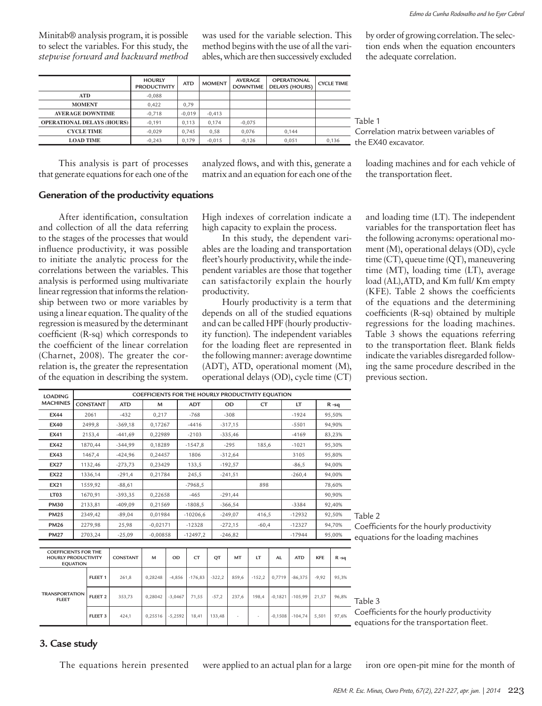Minitab® analysis program, it is possible to select the variables. For this study, the *stepwise forward and backward method*  was used for the variable selection. This method begins with the use of all the variables, which are then successively excluded by order of growing correlation. The selection ends when the equation encounters the adequate correlation.

|                                   | <b>HOURLY</b><br><b>PRODUCTIVITY</b> | <b>ATD</b> | <b>MOMENT</b> | <b>AVERAGE</b><br><b>DOWNTIME</b> | <b>OPERATIONAL</b><br><b>DELAYS (HOURS)</b> | <b>CYCLE TIME</b> |
|-----------------------------------|--------------------------------------|------------|---------------|-----------------------------------|---------------------------------------------|-------------------|
| ATD                               | $-0.088$                             |            |               |                                   |                                             |                   |
| <b>MOMENT</b>                     | 0,422                                | 0.79       |               |                                   |                                             |                   |
| <b>AVERAGE DOWNTIME</b>           | $-0.718$                             | $-0.019$   | $-0.413$      |                                   |                                             |                   |
| <b>OPERATIONAL DELAYS (HOURS)</b> | $-0.191$                             | 0.113      | 0.174         | $-0.075$                          |                                             |                   |
| <b>CYCLE TIME</b>                 | $-0.029$                             | 0.745      | 0,58          | 0.076                             | 0.144                                       |                   |
| <b>LOAD TIME</b>                  | $-0.243$                             | 0.179      | $-0.015$      | $-0.126$                          | 0.051                                       | 0,136             |

Table 1 Correlation matrix between variables of the EX40 excavator.

This analysis is part of processes that generate equations for each one of the analyzed flows, and with this, generate a matrix and an equation for each one of the loading machines and for each vehicle of the transportation fleet.

### **Generation of the productivity equations**

After identification, consultation and collection of all the data referring to the stages of the processes that would influence productivity, it was possible to initiate the analytic process for the correlations between the variables. This analysis is performed using multivariate linear regression that informs the relationship between two or more variables by using a linear equation. The quality of the regression is measured by the determinant coefficient (R-sq) which corresponds to the coefficient of the linear correlation (Charnet, 2008). The greater the correlation is, the greater the representation of the equation in describing the system.

High indexes of correlation indicate a high capacity to explain the process.

In this study, the dependent variables are the loading and transportation fleet's hourly productivity, while the independent variables are those that together can satisfactorily explain the hourly productivity.

Hourly productivity is a term that depends on all of the studied equations and can be called HPF (hourly productivity function). The independent variables for the loading fleet are represented in the following manner: average downtime (ADT), ATD, operational moment (M), operational delays (OD), cycle time (CT) and loading time (LT). The independent variables for the transportation fleet has the following acronyms: operational moment (M), operational delays (OD), cycle time (CT), queue time (QT), maneuvering time (MT), loading time (LT), average load (AL),ATD, and Km full/ Km empty (KFE). Table 2 shows the coefficients of the equations and the determining coefficients (R-sq) obtained by multiple regressions for the loading machines. Table 3 shows the equations referring to the transportation fleet. Blank fields indicate the variables disregarded following the same procedure described in the previous section.

| <b>LOADING</b>                                            | COEFFICIENTS FOR THE HOURLY PRODUCTIVITY EOUATION |                    |                 |            |           |            |           |           |          |           |                   |            |          |                                                                                     |
|-----------------------------------------------------------|---------------------------------------------------|--------------------|-----------------|------------|-----------|------------|-----------|-----------|----------|-----------|-------------------|------------|----------|-------------------------------------------------------------------------------------|
| <b>MACHINES</b>                                           |                                                   | <b>CONSTANT</b>    | <b>ATD</b>      | M          |           | <b>ADT</b> |           | <b>OD</b> | CT       |           | LT                |            | $R - sq$ |                                                                                     |
| <b>EX44</b>                                               |                                                   | 2061               | $-432$          | 0,217      |           | $-768$     |           | $-308$    |          |           | $-1924$           |            | 95,50%   |                                                                                     |
| <b>EX40</b>                                               |                                                   | 2499.8             | $-369.18$       | 0.17267    |           | $-4416$    |           | $-317,15$ |          |           | $-5501$           |            | 94.90%   |                                                                                     |
| <b>EX41</b>                                               |                                                   | 2153,4             | $-441,69$       | 0,22989    |           | $-2103$    |           | $-335,46$ |          |           | $-4169$           |            | 83,23%   |                                                                                     |
| <b>EX42</b>                                               |                                                   | 1870,44            | $-344,99$       | 0,18289    |           | $-1547,8$  |           | $-295$    | 185,6    |           | $-1021$           |            | 95,30%   |                                                                                     |
| <b>EX43</b>                                               |                                                   | 1467,4             | $-424,96$       | 0,24457    |           | 1806       |           | $-312,64$ |          |           | 3105              |            | 95,80%   |                                                                                     |
| <b>EX27</b>                                               |                                                   | 1132,46            | $-273,73$       | 0,23429    |           | 133,5      |           | $-192,57$ |          |           | $-86,5$           |            | 94,00%   |                                                                                     |
| <b>EX22</b>                                               |                                                   | 1336,14            | $-291,4$        | 0,21784    |           | 245,5      |           | $-241,51$ |          |           | $-260,4$          |            | 94,00%   |                                                                                     |
| <b>EX21</b>                                               |                                                   | 1559,92            | $-88,61$        |            |           | $-7968.5$  |           |           | 898      |           |                   |            | 78,60%   |                                                                                     |
| LT <sub>03</sub>                                          |                                                   | 1670,91            | $-393,35$       | 0,22658    |           | $-465$     |           | $-291,44$ |          |           |                   |            | 90,90%   |                                                                                     |
| <b>PM30</b>                                               |                                                   | 2133,81            | $-409.09$       | 0,21569    |           | $-1808,5$  |           | $-366,54$ |          |           | $-3384$<br>92,40% |            |          |                                                                                     |
| <b>PM25</b>                                               |                                                   | 2349,42            | $-89,04$        | 0,01984    |           | $-10206,6$ |           | $-249,07$ | 416,5    |           | $-12932$          |            | 92,50%   | Table 2                                                                             |
| <b>PM26</b>                                               |                                                   | 2279,98            | 25,98           | $-0,02171$ |           | $-12328$   |           | $-272,15$ | $-60,4$  |           | $-12327$          |            | 94,70%   | Coefficients for the hourly productivity                                            |
| <b>PM27</b>                                               |                                                   | 2703,24            | $-25,09$        | $-0.00858$ |           | $-12497,2$ |           | $-246,82$ |          |           | $-17944$          |            | 95,00%   | equations for the loading machines                                                  |
|                                                           |                                                   |                    |                 |            |           |            |           |           |          |           |                   |            |          |                                                                                     |
| <b>COEFFICIENTS FOR THE</b><br><b>HOURLY PRODUCTIVITY</b> | <b>EQUATION</b>                                   |                    | <b>CONSTANT</b> | M          | OD        | CT         | <b>QT</b> | MT        | LT       | <b>AL</b> | <b>ATD</b>        | <b>KFE</b> | $R - sq$ |                                                                                     |
|                                                           |                                                   | FLEET <sub>1</sub> | 261,8           | 0,28248    | $-4,856$  | $-176,83$  | $-322,2$  | 859,6     | $-152,2$ | 0,7719    | $-86,375$         | $-9,92$    | 95,3%    |                                                                                     |
| <b>TRANSPORTATION</b><br><b>FLEET</b>                     |                                                   | FLEET <sub>2</sub> | 353,73          | 0,28042    | $-3,0467$ | 71,55      | $-57,2$   | 237,6     | 198,4    | $-0,1821$ | $-105,99$         | 21,57      | 96,8%    | Table 3                                                                             |
|                                                           | FLEET <sub>3</sub>                                |                    | 424,1           | 0,25516    | $-5,2592$ | 18,41      | 133,48    |           |          | $-0,1508$ | $-104,74$         | 5,501      | 97,6%    | Coefficients for the hourly productivity<br>equations for the transportation fleet. |

#### **3. Case study**

The equations herein presented were applied to an actual plan for a large iron ore open-pit mine for the month of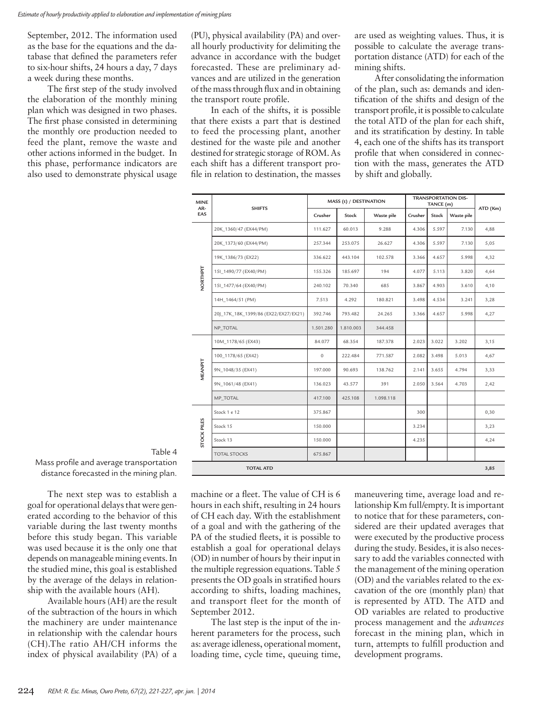September, 2012. The information used as the base for the equations and the database that defined the parameters refer to six-hour shifts, 24 hours a day, 7 days a week during these months.

The first step of the study involved the elaboration of the monthly mining plan which was designed in two phases. The first phase consisted in determining the monthly ore production needed to feed the plant, remove the waste and other actions informed in the budget. In this phase, performance indicators are also used to demonstrate physical usage

(PU), physical availability (PA) and overall hourly productivity for delimiting the advance in accordance with the budget forecasted. These are preliminary advances and are utilized in the generation of the mass through flux and in obtaining the transport route profile.

In each of the shifts, it is possible that there exists a part that is destined to feed the processing plant, another destined for the waste pile and another destined for strategic storage of ROM. As each shift has a different transport profile in relation to destination, the masses are used as weighting values. Thus, it is possible to calculate the average transportation distance (ATD) for each of the mining shifts.

After consolidating the information of the plan, such as: demands and identification of the shifts and design of the transport profile, it is possible to calculate the total ATD of the plan for each shift, and its stratification by destiny. In table 4, each one of the shifts has its transport profile that when considered in connection with the mass, generates the ATD by shift and globally.

| <b>MINE</b><br>AR- | <b>SHIFTS</b>                        |              | MASS (t) / DESTINATION |            |         | TANCE (m) | <b>TRANSPORTATION DIS-</b> | ATD (Km) |
|--------------------|--------------------------------------|--------------|------------------------|------------|---------|-----------|----------------------------|----------|
| EAS                |                                      | Crusher      | Stock                  | Waste pile | Crusher | Stock     | Waste pile                 |          |
|                    | 20K_1360/47 (EX44/PM)                | 111.627      | 60.013                 | 9.288      | 4.306   | 5.597     | 7.130                      | 4,88     |
|                    | 20K_1373/60 (EX44/PM)                | 257.344      | 253.075                | 26.627     | 4.306   | 5.597     | 7.130                      | 5,05     |
|                    | 19K_1386/73 (EX22)                   | 336.622      | 443.104                | 102.578    | 3.366   | 4.657     | 5.998                      | 4,32     |
| NORTHPIT           | 15I_1490/77 (EX40/PM)                | 155.326      | 185.697                | 194        | 4.077   | 5.113     | 3.820                      | 4,64     |
|                    | 15I_1477/64 (EX40/PM)                | 240.102      | 70.340                 | 685        | 3.867   | 4.903     | 3.610                      | 4,10     |
|                    | 14H_1464/51 (PM)                     | 7.513        | 4.292                  | 180.821    | 3.498   | 4.534     | 3.241                      | 3,28     |
|                    | 20J_17K_18K_1399/86 (EX22/EX27/EX21) | 392.746      | 793.482                | 24.265     | 3.366   | 4.657     | 5.998                      | 4,27     |
|                    | NP TOTAL                             | 1.501.280    | 1.810.003              | 344.458    |         |           |                            |          |
|                    | 10M_1178/65 (EX43)                   | 84.077       | 68.354                 | 187.378    | 2.023   | 3.022     | 3.202                      | 3,15     |
|                    | 100_1178/65 (EX42)                   | $\mathbf{0}$ | 222.484                | 771.587    | 2.082   | 3.498     | 5.013                      | 4,67     |
| MEANPIT            | 9N_1048/35 (EX41)                    | 197,000      | 90.693                 | 138.762    | 2.141   | 3.655     | 4.794                      | 3,33     |
|                    | 9N_1061/48 (EX41)                    | 136.023      | 43.577                 | 391        | 2.050   | 3.564     | 4.703                      | 2,42     |
|                    | MP TOTAL                             | 417.100      | 425.108                | 1.098.118  |         |           |                            |          |
|                    | Stock 1 e 12                         | 375.867      |                        |            | 300     |           |                            | 0,30     |
|                    | Stock 15                             | 150,000      |                        |            | 3.234   |           |                            | 3,23     |
| <b>STOCK PILES</b> | Stock 13                             | 150,000      |                        |            | 4.235   |           |                            | 4,24     |
|                    | <b>TOTAL STOCKS</b>                  | 675.867      |                        |            |         |           |                            |          |
|                    | <b>TOTAL ATD</b>                     |              |                        |            |         |           |                            | 3,85     |

Table 4 Mass profile and average transportation distance forecasted in the mining plan.

The next step was to establish a goal for operational delays that were generated according to the behavior of this variable during the last twenty months before this study began. This variable was used because it is the only one that depends on manageable mining events. In the studied mine, this goal is established by the average of the delays in relationship with the available hours (AH).

Available hours (AH) are the result of the subtraction of the hours in which the machinery are under maintenance in relationship with the calendar hours (CH).The ratio AH/CH informs the index of physical availability (PA) of a

machine or a fleet. The value of CH is 6 hours in each shift, resulting in 24 hours of CH each day. With the establishment of a goal and with the gathering of the PA of the studied fleets, it is possible to establish a goal for operational delays (OD) in number of hours by their input in the multiple regression equations. Table 5 presents the OD goals in stratified hours according to shifts, loading machines, and transport fleet for the month of September 2012.

The last step is the input of the inherent parameters for the process, such as: average idleness, operational moment, loading time, cycle time, queuing time, maneuvering time, average load and relationship Km full/empty. It is important to notice that for these parameters, considered are their updated averages that were executed by the productive process during the study. Besides, it is also necessary to add the variables connected with the management of the mining operation (OD) and the variables related to the excavation of the ore (monthly plan) that is represented by ATD. The ATD and OD variables are related to productive process management and the *advances*  forecast in the mining plan, which in turn, attempts to fulfill production and development programs.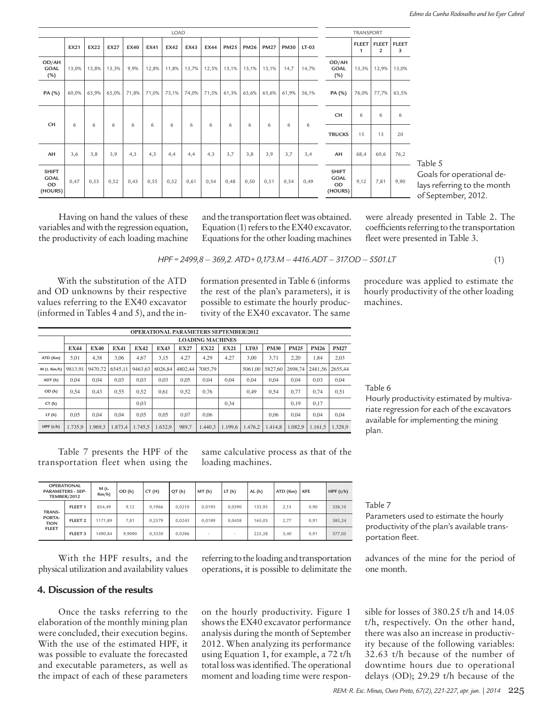|                                                     | LOAD        |       |                                           |             |             |               |       |             |             |             |             |             |         |                                                     | TRANSPORT             |                                |                   |  |  |
|-----------------------------------------------------|-------------|-------|-------------------------------------------|-------------|-------------|---------------|-------|-------------|-------------|-------------|-------------|-------------|---------|-----------------------------------------------------|-----------------------|--------------------------------|-------------------|--|--|
|                                                     | <b>EX21</b> | EX22  | <b>EX27</b>                               | <b>EX40</b> | <b>EX41</b> | EX42          | EX43  | <b>EX44</b> | <b>PM25</b> | <b>PM26</b> | <b>PM27</b> | <b>PM30</b> | $LT-03$ |                                                     | FLEET<br>$\mathbf{1}$ | <b>FLEET</b><br>$\overline{2}$ | <b>FLEET</b><br>3 |  |  |
| OD/AH<br><b>GOAL</b><br>(%)                         | 13,0%       | 13,8% | 13,3%                                     | 9,9%        | 12,8%       | 11,8%         | 13,7% | 12,5%       | 13,1%       | 13,1%       | 13,1%       | 14,7        | 14,7%   | OD/AH<br><b>GOAL</b><br>(%)                         | 13,3%                 | 12,9%                          | 13,0%             |  |  |
| PA (%)                                              | 60,0%       | 63,9% | 65,0%                                     | 71,8%       | 71,0%       | 73,1%         | 74,0% | 71,5%       | 61,3%       | 63,6%       | 65,6%       | 61,9%       | 56,1%   | PA (%)                                              | 76,0%                 | 77,7%                          | 63,5%             |  |  |
|                                                     |             |       |                                           |             |             |               |       |             |             |             |             |             |         | CH                                                  | 6                     | 6                              | 6                 |  |  |
| CH                                                  | 6           | 6     | 6<br>6<br>6<br>6<br>6<br>6<br>6<br>6<br>6 | 6           | 6           | <b>TRUCKS</b> | 15    | 13          | 20          |             |             |             |         |                                                     |                       |                                |                   |  |  |
| AH                                                  | 3,6         | 3,8   | 3,9                                       | 4,3         | 4,3         | 4,4           | 4,4   | 4,3         | 3,7         | 3,8         | 3,9         | 3,7         | 3,4     | AH                                                  | 68,4                  | 60,6                           | 76,2              |  |  |
| <b>SHIFT</b><br><b>GOAL</b><br><b>OD</b><br>(HOURS) | 0,47        | 0,53  | 0,52                                      | 0,43        | 0,55        | 0,52          | 0,61  | 0,54        | 0,48        | 0,50        | 0,51        | 0,54        | 0,49    | <b>SHIFT</b><br><b>GOAL</b><br><b>OD</b><br>(HOURS) | 9,12                  | 7,81                           | 9,90              |  |  |

Table 5 Goals for operational deays referring to the month of September, 2012.

Having on hand the values of these variables and with the regression equation, the productivity of each loading machine

and the transportation fleet was obtained. Equation (1) refers to the EX40 excavator. Equations for the other loading machines were already presented in Table 2. The coefficients referring to the transportation fleet were presented in Table 3.

$$
HPF = 2499,8 - 369,2. ATD + 0,173.M - 4416.ADT - 317.OD - 5501.LT
$$
\n(1)

With the substitution of the ATD and OD unknowns by their respective values referring to the EX40 excavator (informed in Tables 4 and 5), and the information presented in Table 6 (informs the rest of the plan's parameters), it is possible to estimate the hourly productivity of the EX40 excavator. The same

| procedure was applied to estimate the    |
|------------------------------------------|
| hourly productivity of the other loading |
| machines.                                |

|             |             |                         |             |             |             |             | <b>OPERATIONAL PARAMETERS SEPTEMBER/2012</b> |             |         |             |             |             |             |  |  |  |
|-------------|-------------|-------------------------|-------------|-------------|-------------|-------------|----------------------------------------------|-------------|---------|-------------|-------------|-------------|-------------|--|--|--|
|             |             | <b>LOADING MACHINES</b> |             |             |             |             |                                              |             |         |             |             |             |             |  |  |  |
|             | <b>EX44</b> | <b>EX40</b>             | <b>EX41</b> | <b>EX42</b> | <b>EX43</b> | <b>EX27</b> | <b>EX22</b>                                  | <b>EX21</b> | LT03    | <b>PM30</b> | <b>PM25</b> | <b>PM26</b> | <b>PM27</b> |  |  |  |
| ATD (Km)    | 5.01        | 4.38                    | 3.06        | 4.67        | 3.15        | 4,27        | 4.29                                         | 4.27        | 3.00    | 3.71        | 2.20        | 1.84        | 2.03        |  |  |  |
| M (t. Km/h) | 9813.91     | 9470.72                 | 6545.11     | 9463.63     | 6026.84     | 4802.44     | 7085.79                                      |             | 5061.00 | 5827.60     | 2698.74     | 2481.56     | 2655.44     |  |  |  |
| ADT(h)      | 0.04        | 0.04                    | 0.03        | 0.03        | 0.03        | 0.05        | 0.04                                         | 0.04        | 0.04    | 0.04        | 0.04        | 0.03        | 0.04        |  |  |  |
| OD(h)       | 0.54        | 0.43                    | 0.55        | 0.52        | 0.61        | 0.52        | 0.76                                         |             | 0.49    | 0.54        | 0.77        | 0.74        | 0,51        |  |  |  |
| CT(h)       |             |                         |             | 0.03        |             |             |                                              | 0.34        |         |             | 0.19        | 0.17        |             |  |  |  |
| LT(h)       | 0.05        | 0.04                    | 0.04        | 0.05        | 0.05        | 0.07        | 0.06                                         |             |         | 0.06        | 0.04        | 0.04        | 0.04        |  |  |  |
| HPF(t/h)    | 1.735.9     | 1.969.3                 | 1.873.4     | 1.745.5     | 1.632.9     | 989.7       | 1.440.3                                      | 1.199.6     | 1.476.2 | 1.414.8     | 1.082.9     | 1.161.5     | 1.328.9     |  |  |  |

Table 7 presents the HPF of the transportation fleet when using the same calculative process as that of the loading machines.

| <b>OPERATIONAL</b><br><b>PARAMETERS - SEP-</b><br><b>TEMBER/2012</b> |                    | M (t.<br>$Km/h$ ) | OD(h)  | CT(H)  | QT(h)  | MT(h)  | LT(h)                    | AL(h)  | ATD (Km) | <b>KFE</b> | HPF $(t/h)$ |
|----------------------------------------------------------------------|--------------------|-------------------|--------|--------|--------|--------|--------------------------|--------|----------|------------|-------------|
| <b>TRANS-</b><br>PORTA-<br><b>TION</b><br><b>FLEET</b>               | FLEET <sub>1</sub> | 854.49            | 9.12   | 0.1966 | 0.0210 | 0.0193 | 0.0390                   | 133.95 | 2.13     | 0.90       | 338,10      |
|                                                                      | FLEET <sub>2</sub> | 1171,89           | 7,81   | 0.2579 | 0.0243 | 0.0189 | 0.0438                   | 165.03 | 2,77     | 0.91       | 385,24      |
|                                                                      | FLEET <sub>3</sub> | 1490.84           | 9.9090 | 0.3350 | 0.0286 |        | $\overline{\phantom{a}}$ | 225.28 | 3.40     | 0.91       | 377,05      |

With the HPF results, and the physical utilization and availability values

# **4. Discussion of the results**

Once the tasks referring to the elaboration of the monthly mining plan were concluded, their execution begins. With the use of the estimated HPF, it was possible to evaluate the forecasted and executable parameters, as well as the impact of each of these parameters

referring to the loading and transportation operations, it is possible to delimitate the

on the hourly productivity. Figure 1 shows the EX40 excavator performance analysis during the month of September 2012. When analyzing its performance using Equation 1, for example, a 72 t/h total loss was identified. The operational moment and loading time were respon-

# Table 6

Hourly productivity estimated by multivariate regression for each of the excavators available for implementing the mining plan.

#### Table 7

Parameters used to estimate the hourly productivity of the plan's available transportation fleet.

advances of the mine for the period of one month.

sible for losses of 380.25 t/h and 14.05 t/h, respectively. On the other hand, there was also an increase in productivity because of the following variables: 32.63 t/h because of the number of downtime hours due to operational delays (OD); 29.29 t/h because of the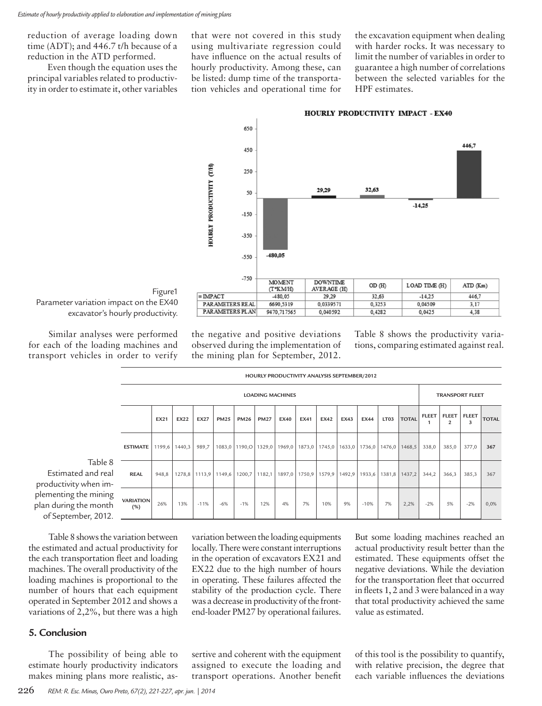reduction of average loading down time (ADT); and 446.7 t/h because of a reduction in the ATD performed.

Even though the equation uses the principal variables related to productivity in order to estimate it, other variables

that were not covered in this study using multivariate regression could have influence on the actual results of hourly productivity. Among these, can be listed: dump time of the transportation vehicles and operational time for

the excavation equipment when dealing with harder rocks. It was necessary to limit the number of variables in order to guarantee a high number of correlations between the selected variables for the HPF estimates.





Figure1 Parameter variation impact on the EX40 excavator's hourly productivity.

Similar analyses were performed for each of the loading machines and transport vehicles in order to verify the negative and positive deviations observed during the implementation of the mining plan for September, 2012. Table 8 shows the productivity variations, comparing estimated against real.

|                                |                         |             |             |               |             |                                            |             |                         | HOURLY PRODUCTIVITY ANALYSIS SEPTEMBER/2012 |        |      |                            |                  |              |              |                         |                        |              |
|--------------------------------|-------------------------|-------------|-------------|---------------|-------------|--------------------------------------------|-------------|-------------------------|---------------------------------------------|--------|------|----------------------------|------------------|--------------|--------------|-------------------------|------------------------|--------------|
|                                |                         |             |             |               |             |                                            |             | <b>LOADING MACHINES</b> |                                             |        |      |                            |                  |              |              |                         | <b>TRANSPORT FLEET</b> |              |
|                                |                         | <b>EX21</b> | <b>EX22</b> | <b>EX27</b>   | <b>PM25</b> | <b>PM26</b>                                | <b>PM27</b> | <b>EX40</b>             | EX41                                        | EX42   | EX43 | <b>EX44</b>                | LT <sub>03</sub> | <b>TOTAL</b> | <b>FLEET</b> | FLEET<br>$\overline{2}$ | <b>FLEET</b><br>3      | <b>TOTAL</b> |
|                                | <b>ESTIMATE</b>         | 1199,6      | 1440,3      | 989,7         |             | 1083,0   1190,0   1329,0   1969,0   1873,0 |             |                         |                                             | 1745,0 |      | $1633,0$   1736,0   1476,0 |                  | 1468,5       | 338,0        | 385,0                   | 377,0                  | 367          |
| Table 8<br>and real<br>hen im- | <b>REAL</b>             | 948,8       |             | 1278,8 1113,9 | 1149,6      | 1200,7                                     | 1182,1      |                         | $1897,0$   1750,9                           | 1579,9 |      | 1492,9   1933,6   1381,8   |                  | 1437,2       | 344,2        | 366,3                   | 385,3                  | 367          |
| mining<br>: month<br>r, 2012.  | <b>VARIATION</b><br>(%) | 26%         | 13%         | $-11%$        | $-6%$       | $-1%$                                      | 12%         | 4%                      | 7%                                          | 10%    | 9%   | $-10%$                     | 7%               | 2,2%         | $-2%$        | 5%                      | $-2%$                  | 0,0%         |

Estimated and r productivity when plementing the min plan during the mo of September, 20

Table 8 shows the variation between the estimated and actual productivity for the each transportation fleet and loading machines. The overall productivity of the loading machines is proportional to the number of hours that each equipment operated in September 2012 and shows a variations of 2,2%, but there was a high

#### **5. Conclusion**

The possibility of being able to estimate hourly productivity indicators makes mining plans more realistic, asvariation between the loading equipments locally. There were constant interruptions in the operation of excavators EX21 and EX22 due to the high number of hours in operating. These failures affected the stability of the production cycle. There was a decrease in productivity of the frontend-loader PM27 by operational failures. But some loading machines reached an actual productivity result better than the estimated. These equipments offset the negative deviations. While the deviation for the transportation fleet that occurred in fleets 1, 2 and 3 were balanced in a way that total productivity achieved the same value as estimated.

sertive and coherent with the equipment assigned to execute the loading and transport operations. Another benefit of this tool is the possibility to quantify, with relative precision, the degree that each variable influences the deviations